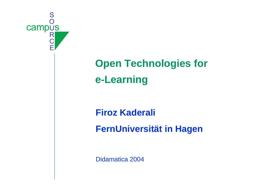

# **Open Technologies for e-Learning**

#### **Firoz Kaderali**

**FernUniversität in Hagen**

Didamatica 2004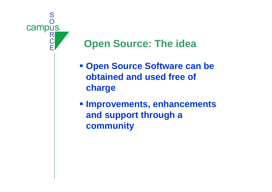

# **Open Source: The idea**

- **Open Source Software can be obtained and used free of charge**
- **Improvements, enhancements and support through a community**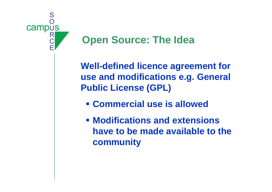

#### **Open Source: The Idea**

**Well-defined licence agreement for use and modifications e.g. General Public License (GPL)**

- **Commercial use is allowed**
- **Modifications and extensionshave to be made available to the community**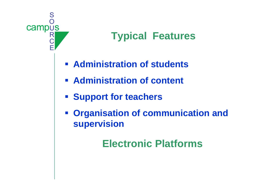

# **Typical Features**

- **Example 12 Administration of students**
- **EXADMINISTRATION OF CONTENT**
- **Example 1 Support for teachers**
- **Organisation of communication and supervision**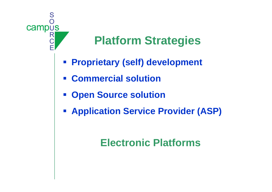

# **Platform Strategies**

- **Proprietary (self) development**
- **Commercial solution**
- **Example 1 Source solution**
- **Application Service Provider (ASP)**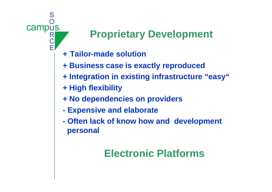# S campus

# **Proprietary Development**

- **<sup>+</sup> Tailor-made solution**
- **+ Business case is exactly reproduced**
- **+ Integration in existing infrastructure "easy"**
- **+ High flexibility**
- **+ No dependencies on providers**
- **Expensive and elaborate**
- **Often lack of know how and development personal**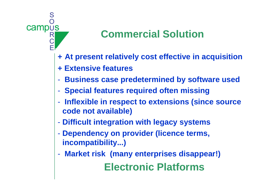

# **Commercial Solution**

- **<sup>+</sup> At present relatively cost effective in acquisition**
- **+ Extensive features**
- -**Business case predetermined by software used**
- -**Special features required often missing**
- - **Inflexible in respect to extensions (since source code not available)**
- -**Difficult integration with legacy systems**
- - **Dependency on provider (licence terms, incompatibility...)**
- - **Market risk (many enterprises disappear!) Electronic Platforms**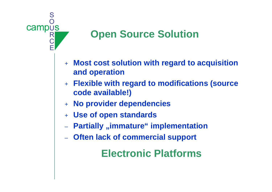

# **Open Source Solution**

- $+$  **Most cost solution with regard to acquisition and operation**
- $+$  **Flexible with regard to modifications (source code available!)**
- + **No provider dependencies**
- + **Use of open standards**
- –**Partially "immature" implementation**
- **Often lack of commercial support**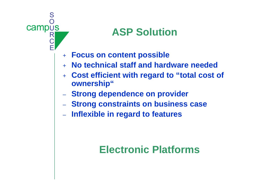

# **ASP Solution**

- + **Focus on content possible**
- + **No technical staff and hardware needed**
- + **Cost efficient with regard to "total cost of ownership"**
- **Strong dependence on provider**
- **Strong constraints on business case**
- **Inflexible in regard to features**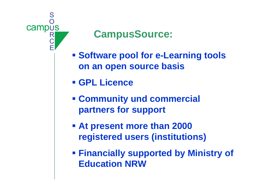

#### **CampusSource:**

- **Software pool for e-Learning tools on an open source basis**
- **GPL Licence**
- **Community und commercial partners for support**
- **At present more than 2000 registered users (institutions)**
- **Financially supported by Ministry of Education NRW**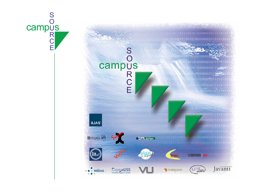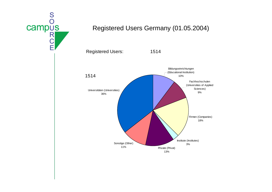

#### Registered Users Germany (01.05.2004)

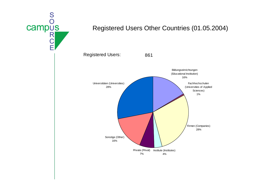

#### Registered Users Other Countries (01.05.2004)

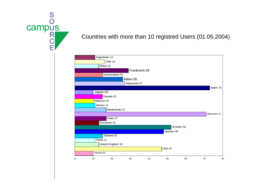

#### Countries with more than 10 registred Users (01.05.2004)

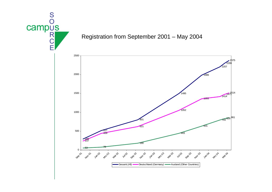

#### Registration from September 2001 – May 2004

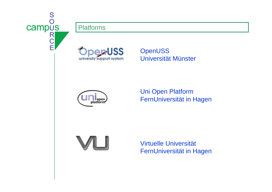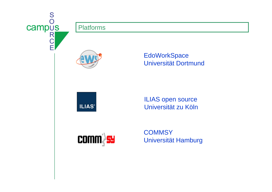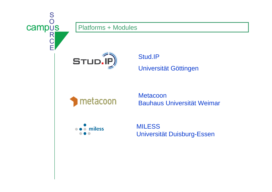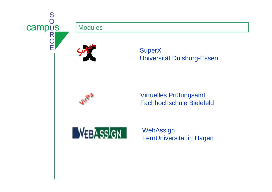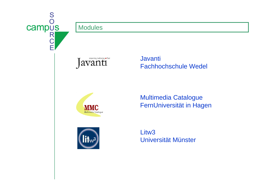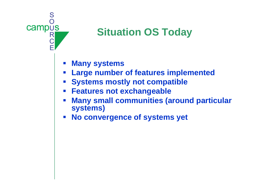

## **Situation OS Today**

- **Many systems**
- **Large number of features implemented**
- **Systems mostly not compatible**
- **Features not exchangeable**
- $\mathcal{L}_{\mathcal{A}}$  **Many small communities (around particular systems)**
- $\mathbb{Z}^{\mathbb{Z}}$ **No convergence of systems yet**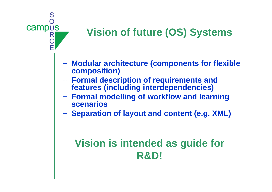

# **Vision of future (OS) Systems**

- + **Modular architecture (components for flexible composition)**
- + **Formal description of requirements and features (including interdependencies)**
- + **Formal modelling of workflow and learning scenarios**
- + **Separation of layout and content (e.g. XML)**

# **Vision is intended as guide for R&D!**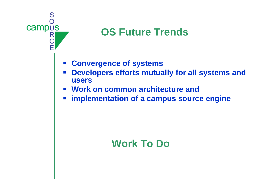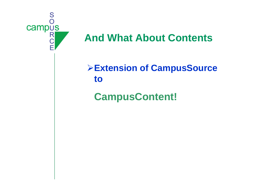

#### **And What About Contents**

¾**Extension of CampusSource to**

### **CampusContent!**